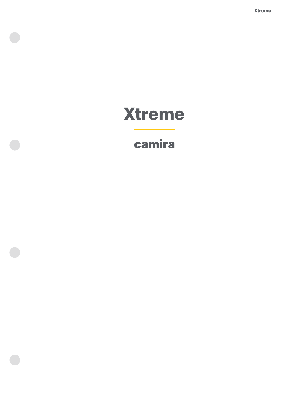Xtreme

# **Xtreme**

## camira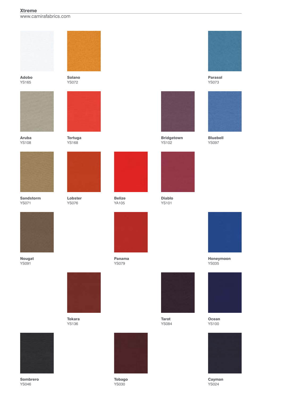## Xtreme

www.camirafabrics.com



Adobo YS165



Aruba YS108



Sandstorm YS071



Nougat YS091



Solano YS072



Tortuga YS168



Lobster YS076



Belize YA105



Panama YS079



Tokara YS136



Sombrero YS046



Tarot YS084



Tobago YS030



Parasol YS073



Bluebell YS097



Honeymoon YS035



**Ocean** YS100



Cayman YS024





Bridgetown YS102



Diablo YS101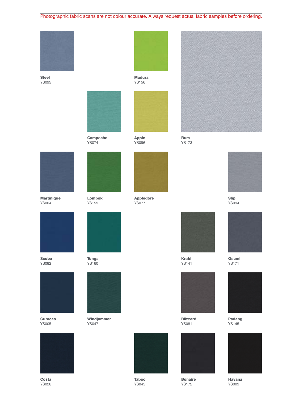## Photographic fabric scans are not colour accurate. Always request actual fabric samples before ordering.

Madura YS156



Steel YS095



Campeche YS074



Lombok YS159



Apple YS096

Appledore YS077



Rum YS173



Slip YS094



Osumi YS171



Padang YS145



Havana YS009



Martinique YS004



Scuba YS082



Curacao YS005



Costa YS026



YS160



Windjammer YS047



Taboo YS045



Krabi YS141



Blizzard YS081